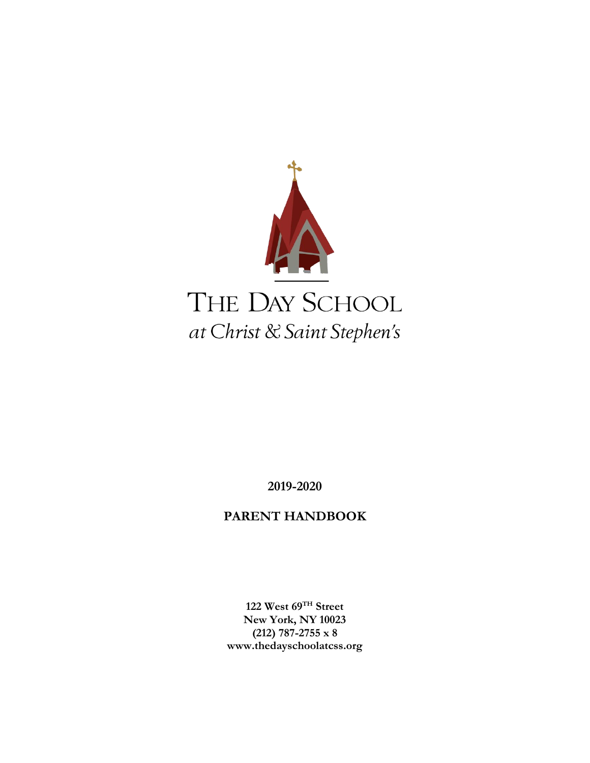

**2019-2020**

## **PARENT HANDBOOK**

**122 West 69TH Street New York, NY 10023 (212) 787-2755 x 8 www.thedayschoolatcss.org**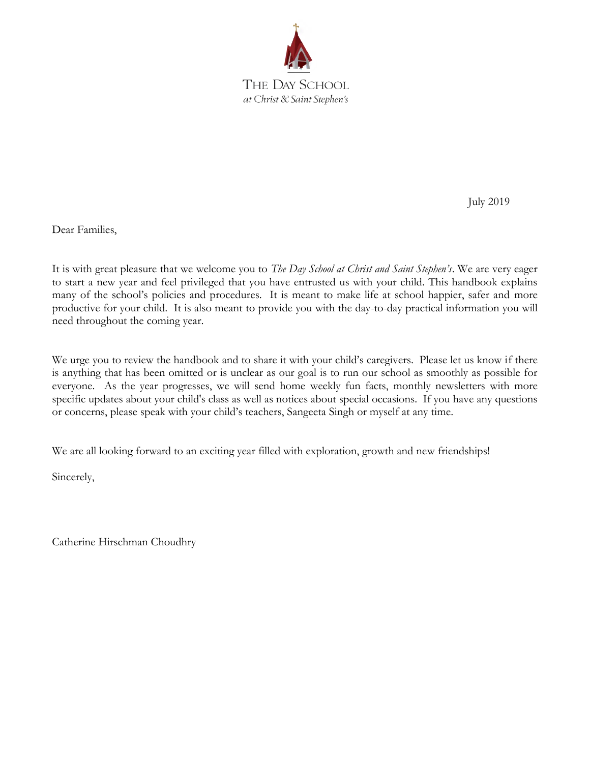

July 2019

Dear Families,

It is with great pleasure that we welcome you to *The Day School at Christ and Saint Stephen's*. We are very eager to start a new year and feel privileged that you have entrusted us with your child. This handbook explains many of the school's policies and procedures. It is meant to make life at school happier, safer and more productive for your child. It is also meant to provide you with the day-to-day practical information you will need throughout the coming year.

We urge you to review the handbook and to share it with your child's caregivers. Please let us know if there is anything that has been omitted or is unclear as our goal is to run our school as smoothly as possible for everyone. As the year progresses, we will send home weekly fun facts, monthly newsletters with more specific updates about your child's class as well as notices about special occasions. If you have any questions or concerns, please speak with your child's teachers, Sangeeta Singh or myself at any time.

We are all looking forward to an exciting year filled with exploration, growth and new friendships!

Sincerely,

Catherine Hirschman Choudhry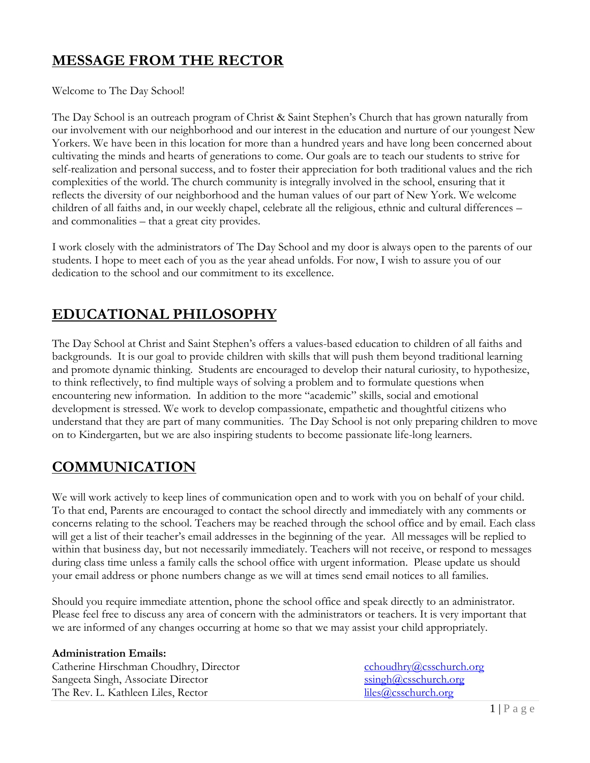# **MESSAGE FROM THE RECTOR**

Welcome to The Day School!

The Day School is an outreach program of Christ & Saint Stephen's Church that has grown naturally from our involvement with our neighborhood and our interest in the education and nurture of our youngest New Yorkers. We have been in this location for more than a hundred years and have long been concerned about cultivating the minds and hearts of generations to come. Our goals are to teach our students to strive for self-realization and personal success, and to foster their appreciation for both traditional values and the rich complexities of the world. The church community is integrally involved in the school, ensuring that it reflects the diversity of our neighborhood and the human values of our part of New York. We welcome children of all faiths and, in our weekly chapel, celebrate all the religious, ethnic and cultural differences – and commonalities – that a great city provides.

I work closely with the administrators of The Day School and my door is always open to the parents of our students. I hope to meet each of you as the year ahead unfolds. For now, I wish to assure you of our dedication to the school and our commitment to its excellence.

## **EDUCATIONAL PHILOSOPHY**

The Day School at Christ and Saint Stephen's offers a values-based education to children of all faiths and backgrounds. It is our goal to provide children with skills that will push them beyond traditional learning and promote dynamic thinking. Students are encouraged to develop their natural curiosity, to hypothesize, to think reflectively, to find multiple ways of solving a problem and to formulate questions when encountering new information. In addition to the more "academic" skills, social and emotional development is stressed. We work to develop compassionate, empathetic and thoughtful citizens who understand that they are part of many communities. The Day School is not only preparing children to move on to Kindergarten, but we are also inspiring students to become passionate life-long learners.

## **COMMUNICATION**

We will work actively to keep lines of communication open and to work with you on behalf of your child. To that end, Parents are encouraged to contact the school directly and immediately with any comments or concerns relating to the school. Teachers may be reached through the school office and by email. Each class will get a list of their teacher's email addresses in the beginning of the year. All messages will be replied to within that business day, but not necessarily immediately. Teachers will not receive, or respond to messages during class time unless a family calls the school office with urgent information. Please update us should your email address or phone numbers change as we will at times send email notices to all families.

Should you require immediate attention, phone the school office and speak directly to an administrator. Please feel free to discuss any area of concern with the administrators or teachers. It is very important that we are informed of any changes occurring at home so that we may assist your child appropriately.

#### **Administration Emails:**

Catherine Hirschman Choudhry, Director [cchoudhry@csschurch.org](mailto:cchoudhry@csschurch.org)<br>
Sangeeta Singh, Associate Director ssingh@csschurch.org Sangeeta Singh, Associate Director Sangh (@csschurch.org) Sangh (@csschurch.org) Sangh (@csschurch.org) Sangh (@csschurch.org) Sangh (@csschurch.org) Sangh (@csschurch.org) Sangh (@csschurch.org) Sangh (@csschurch.org) San The Rev. L. Kathleen Liles, Rector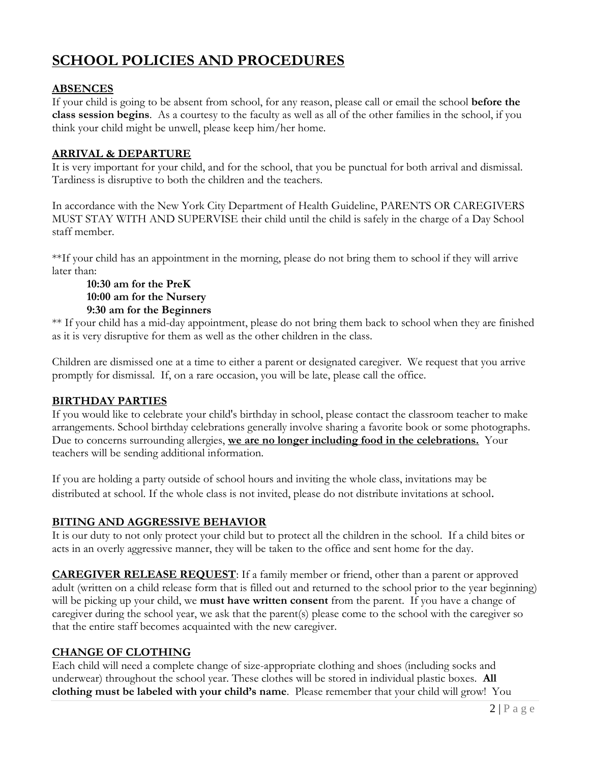# **SCHOOL POLICIES AND PROCEDURES**

## **ABSENCES**

If your child is going to be absent from school, for any reason, please call or email the school **before the class session begins**. As a courtesy to the faculty as well as all of the other families in the school, if you think your child might be unwell, please keep him/her home.

## **ARRIVAL & DEPARTURE**

It is very important for your child, and for the school, that you be punctual for both arrival and dismissal. Tardiness is disruptive to both the children and the teachers.

In accordance with the New York City Department of Health Guideline, PARENTS OR CAREGIVERS MUST STAY WITH AND SUPERVISE their child until the child is safely in the charge of a Day School staff member.

\*\*If your child has an appointment in the morning, please do not bring them to school if they will arrive later than:

### **10:30 am for the PreK 10:00 am for the Nursery 9:30 am for the Beginners**

\*\* If your child has a mid-day appointment, please do not bring them back to school when they are finished as it is very disruptive for them as well as the other children in the class.

Children are dismissed one at a time to either a parent or designated caregiver. We request that you arrive promptly for dismissal. If, on a rare occasion, you will be late, please call the office.

## **BIRTHDAY PARTIES**

If you would like to celebrate your child's birthday in school, please contact the classroom teacher to make arrangements. School birthday celebrations generally involve sharing a favorite book or some photographs. Due to concerns surrounding allergies, **we are no longer including food in the celebrations.** Your teachers will be sending additional information.

If you are holding a party outside of school hours and inviting the whole class, invitations may be distributed at school. If the whole class is not invited, please do not distribute invitations at school.

## **BITING AND AGGRESSIVE BEHAVIOR**

It is our duty to not only protect your child but to protect all the children in the school. If a child bites or acts in an overly aggressive manner, they will be taken to the office and sent home for the day.

**CAREGIVER RELEASE REQUEST**: If a family member or friend, other than a parent or approved adult (written on a child release form that is filled out and returned to the school prior to the year beginning) will be picking up your child, we **must have written consent** from the parent. If you have a change of caregiver during the school year, we ask that the parent(s) please come to the school with the caregiver so that the entire staff becomes acquainted with the new caregiver.

## **CHANGE OF CLOTHING**

Each child will need a complete change of size-appropriate clothing and shoes (including socks and underwear) throughout the school year. These clothes will be stored in individual plastic boxes. **All clothing must be labeled with your child's name**. Please remember that your child will grow! You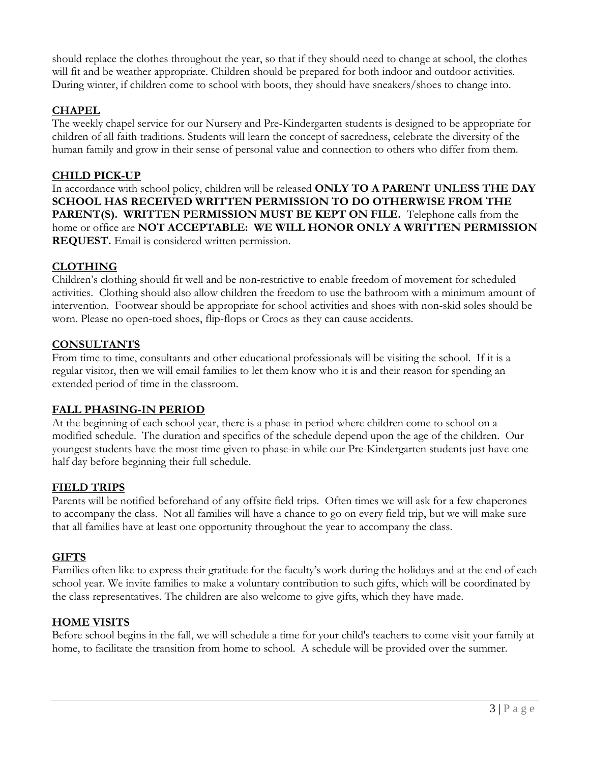should replace the clothes throughout the year, so that if they should need to change at school, the clothes will fit and be weather appropriate. Children should be prepared for both indoor and outdoor activities. During winter, if children come to school with boots, they should have sneakers/shoes to change into.

## **CHAPEL**

The weekly chapel service for our Nursery and Pre-Kindergarten students is designed to be appropriate for children of all faith traditions. Students will learn the concept of sacredness, celebrate the diversity of the human family and grow in their sense of personal value and connection to others who differ from them.

## **CHILD PICK-UP**

In accordance with school policy, children will be released **ONLY TO A PARENT UNLESS THE DAY SCHOOL HAS RECEIVED WRITTEN PERMISSION TO DO OTHERWISE FROM THE PARENT(S). WRITTEN PERMISSION MUST BE KEPT ON FILE.** Telephone calls from the home or office are **NOT ACCEPTABLE: WE WILL HONOR ONLY A WRITTEN PERMISSION REQUEST.** Email is considered written permission.

### **CLOTHING**

Children's clothing should fit well and be non-restrictive to enable freedom of movement for scheduled activities. Clothing should also allow children the freedom to use the bathroom with a minimum amount of intervention. Footwear should be appropriate for school activities and shoes with non-skid soles should be worn. Please no open-toed shoes, flip-flops or Crocs as they can cause accidents.

### **CONSULTANTS**

From time to time, consultants and other educational professionals will be visiting the school. If it is a regular visitor, then we will email families to let them know who it is and their reason for spending an extended period of time in the classroom.

#### **FALL PHASING-IN PERIOD**

At the beginning of each school year, there is a phase-in period where children come to school on a modified schedule. The duration and specifics of the schedule depend upon the age of the children. Our youngest students have the most time given to phase-in while our Pre-Kindergarten students just have one half day before beginning their full schedule.

## **FIELD TRIPS**

Parents will be notified beforehand of any offsite field trips. Often times we will ask for a few chaperones to accompany the class. Not all families will have a chance to go on every field trip, but we will make sure that all families have at least one opportunity throughout the year to accompany the class.

#### **GIFTS**

Families often like to express their gratitude for the faculty's work during the holidays and at the end of each school year. We invite families to make a voluntary contribution to such gifts, which will be coordinated by the class representatives. The children are also welcome to give gifts, which they have made.

#### **HOME VISITS**

Before school begins in the fall, we will schedule a time for your child's teachers to come visit your family at home, to facilitate the transition from home to school. A schedule will be provided over the summer.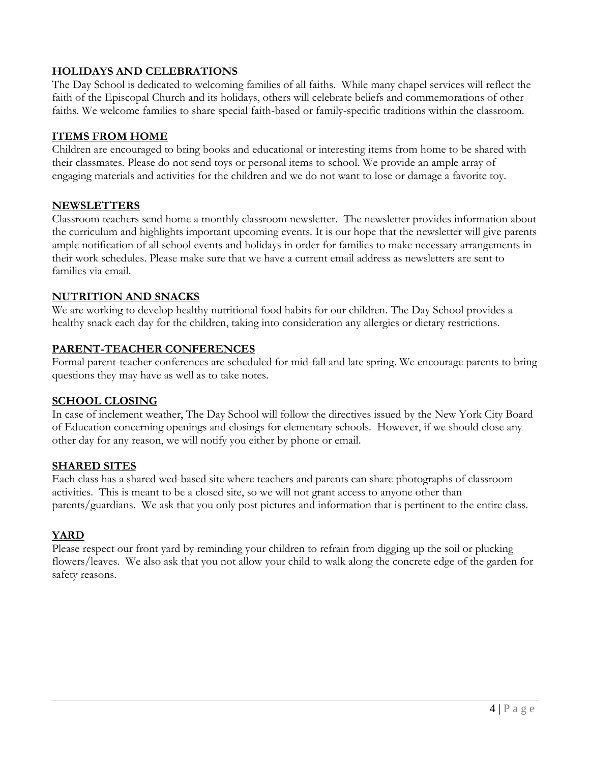## **HOLIDAYS AND CELEBRATIONS**

The Day School is dedicated to welcoming families of all faiths. While many chapel services will reflect the faith of the Episcopal Church and its holidays, others will celebrate beliefs and commemorations of other faiths. We welcome families to share special faith-based or family-specific traditions within the classroom.

### **ITEMS FROM HOME**

Children are encouraged to bring books and educational or interesting items from home to be shared with their classmates. Please do not send toys or personal items to school. We provide an ample array of engaging materials and activities for the children and we do not want to lose or damage a favorite toy.

### **NEWSLETTERS**

Classroom teachers send home a monthly classroom newsletter. The newsletter provides information about the curriculum and highlights important upcoming events. It is our hope that the newsletter will give parents ample notification of all school events and holidays in order for families to make necessary arrangements in their work schedules. Please make sure that we have a current email address as newsletters are sent to families via email.

### **NUTRITION AND SNACKS**

We are working to develop healthy nutritional food habits for our children. The Day School provides a healthy snack each day for the children, taking into consideration any allergies or dietary restrictions.

### **PARENT-TEACHER CONFERENCES**

Formal parent-teacher conferences are scheduled for mid-fall and late spring. We encourage parents to bring questions they may have as well as to take notes.

#### **SCHOOL CLOSING**

In case of inclement weather, The Day School will follow the directives issued by the New York City Board of Education concerning openings and closings for elementary schools. However, if we should close any other day for any reason, we will notify you either by phone or email.

#### **SHARED SITES**

Each class has a shared wed-based site where teachers and parents can share photographs of classroom activities. This is meant to be a closed site, so we will not grant access to anyone other than parents/guardians. We ask that you only post pictures and information that is pertinent to the entire class.

## **YARD**

Please respect our front yard by reminding your children to refrain from digging up the soil or plucking flowers/leaves. We also ask that you not allow your child to walk along the concrete edge of the garden for safety reasons.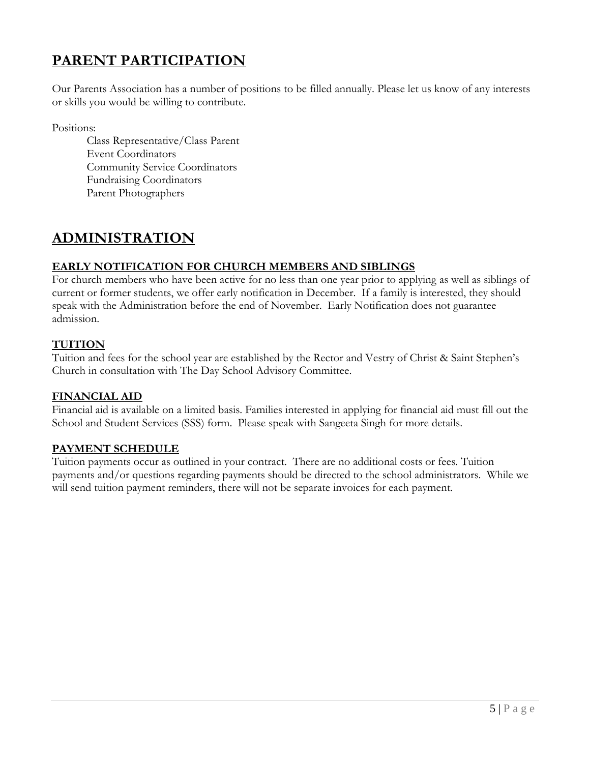# **PARENT PARTICIPATION**

Our Parents Association has a number of positions to be filled annually. Please let us know of any interests or skills you would be willing to contribute.

Positions:

Class Representative/Class Parent Event Coordinators Community Service Coordinators Fundraising Coordinators Parent Photographers

## **ADMINISTRATION**

## **EARLY NOTIFICATION FOR CHURCH MEMBERS AND SIBLINGS**

For church members who have been active for no less than one year prior to applying as well as siblings of current or former students, we offer early notification in December. If a family is interested, they should speak with the Administration before the end of November. Early Notification does not guarantee admission.

## **TUITION**

Tuition and fees for the school year are established by the Rector and Vestry of Christ & Saint Stephen's Church in consultation with The Day School Advisory Committee.

### **FINANCIAL AID**

Financial aid is available on a limited basis. Families interested in applying for financial aid must fill out the School and Student Services (SSS) form. Please speak with Sangeeta Singh for more details.

## **PAYMENT SCHEDULE**

Tuition payments occur as outlined in your contract. There are no additional costs or fees. Tuition payments and/or questions regarding payments should be directed to the school administrators. While we will send tuition payment reminders, there will not be separate invoices for each payment.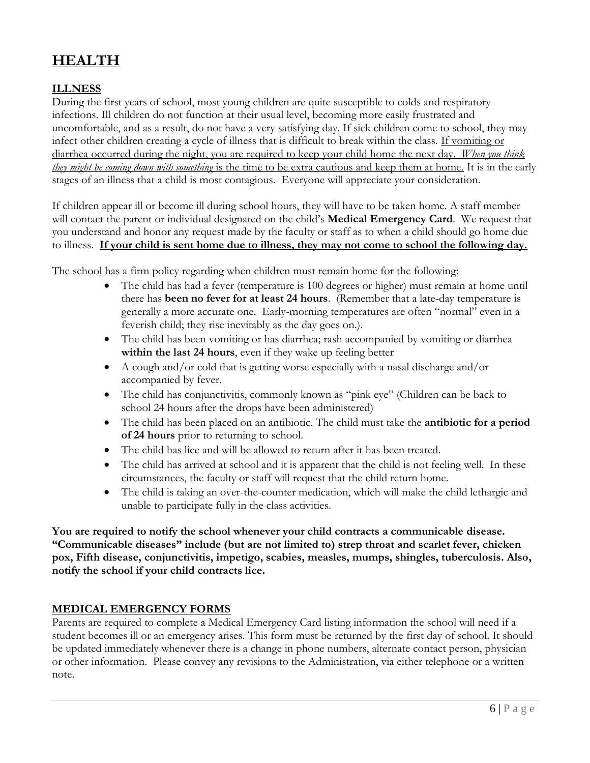# **HEALTH**

## **ILLNESS**

During the first years of school, most young children are quite susceptible to colds and respiratory infections. Ill children do not function at their usual level, becoming more easily frustrated and uncomfortable, and as a result, do not have a very satisfying day. If sick children come to school, they may infect other children creating a cycle of illness that is difficult to break within the class. If vomiting or diarrhea occurred during the night, you are required to keep your child home the next day. *When you think they might be coming down with something* is the time to be extra cautious and keep them at home. It is in the early stages of an illness that a child is most contagious. Everyone will appreciate your consideration.

If children appear ill or become ill during school hours, they will have to be taken home. A staff member will contact the parent or individual designated on the child's **Medical Emergency Card**. We request that you understand and honor any request made by the faculty or staff as to when a child should go home due to illness. **If your child is sent home due to illness, they may not come to school the following day.**

The school has a firm policy regarding when children must remain home for the following:

- The child has had a fever (temperature is 100 degrees or higher) must remain at home until there has **been no fever for at least 24 hours**. (Remember that a late-day temperature is generally a more accurate one. Early-morning temperatures are often "normal" even in a feverish child; they rise inevitably as the day goes on.).
- The child has been vomiting or has diarrhea; rash accompanied by vomiting or diarrhea **within the last 24 hours**, even if they wake up feeling better
- A cough and/or cold that is getting worse especially with a nasal discharge and/or accompanied by fever.
- The child has conjunctivitis, commonly known as "pink eye" (Children can be back to school 24 hours after the drops have been administered)
- The child has been placed on an antibiotic. The child must take the **antibiotic for a period of 24 hours** prior to returning to school.
- The child has lice and will be allowed to return after it has been treated.
- The child has arrived at school and it is apparent that the child is not feeling well. In these circumstances, the faculty or staff will request that the child return home.
- The child is taking an over-the-counter medication, which will make the child lethargic and unable to participate fully in the class activities.

**You are required to notify the school whenever your child contracts a communicable disease. "Communicable diseases" include (but are not limited to) strep throat and scarlet fever, chicken pox, Fifth disease, conjunctivitis, impetigo, scabies, measles, mumps, shingles, tuberculosis. Also, notify the school if your child contracts lice.**

#### **MEDICAL EMERGENCY FORMS**

Parents are required to complete a Medical Emergency Card listing information the school will need if a student becomes ill or an emergency arises. This form must be returned by the first day of school. It should be updated immediately whenever there is a change in phone numbers, alternate contact person, physician or other information. Please convey any revisions to the Administration, via either telephone or a written note.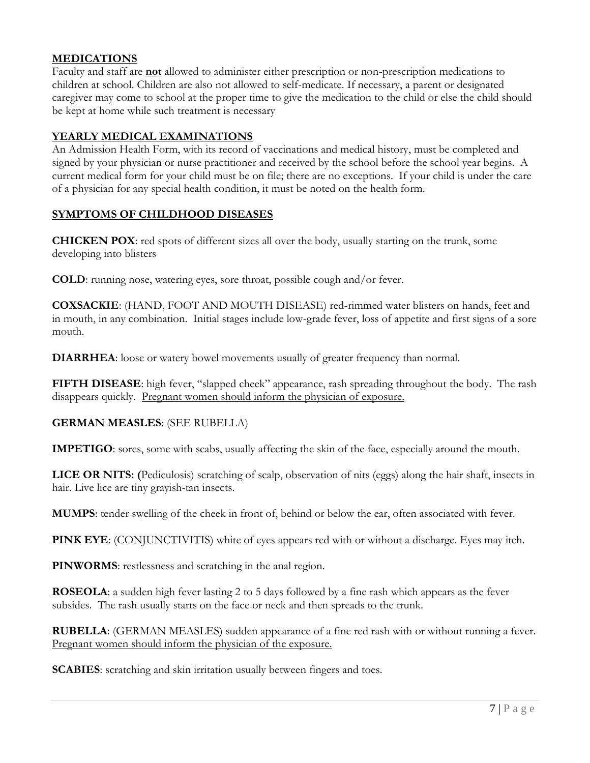## **MEDICATIONS**

Faculty and staff are **not** allowed to administer either prescription or non-prescription medications to children at school. Children are also not allowed to self-medicate. If necessary, a parent or designated caregiver may come to school at the proper time to give the medication to the child or else the child should be kept at home while such treatment is necessary

#### **YEARLY MEDICAL EXAMINATIONS**

An Admission Health Form, with its record of vaccinations and medical history, must be completed and signed by your physician or nurse practitioner and received by the school before the school year begins. A current medical form for your child must be on file; there are no exceptions. If your child is under the care of a physician for any special health condition, it must be noted on the health form.

### **SYMPTOMS OF CHILDHOOD DISEASES**

**CHICKEN POX**: red spots of different sizes all over the body, usually starting on the trunk, some developing into blisters

**COLD**: running nose, watering eyes, sore throat, possible cough and/or fever.

**COXSACKIE**: (HAND, FOOT AND MOUTH DISEASE) red-rimmed water blisters on hands, feet and in mouth, in any combination. Initial stages include low-grade fever, loss of appetite and first signs of a sore mouth.

**DIARRHEA**: loose or watery bowel movements usually of greater frequency than normal.

**FIFTH DISEASE**: high fever, "slapped cheek" appearance, rash spreading throughout the body. The rash disappears quickly. Pregnant women should inform the physician of exposure.

#### **GERMAN MEASLES**: (SEE RUBELLA)

**IMPETIGO**: sores, some with scabs, usually affecting the skin of the face, especially around the mouth.

**LICE OR NITS: (**Pediculosis) scratching of scalp, observation of nits (eggs) along the hair shaft, insects in hair. Live lice are tiny grayish-tan insects.

**MUMPS**: tender swelling of the cheek in front of, behind or below the ear, often associated with fever.

**PINK EYE**: (CONJUNCTIVITIS) white of eyes appears red with or without a discharge. Eyes may itch.

**PINWORMS**: restlessness and scratching in the anal region.

**ROSEOLA**: a sudden high fever lasting 2 to 5 days followed by a fine rash which appears as the fever subsides. The rash usually starts on the face or neck and then spreads to the trunk.

**RUBELLA**: (GERMAN MEASLES) sudden appearance of a fine red rash with or without running a fever. Pregnant women should inform the physician of the exposure.

**SCABIES**: scratching and skin irritation usually between fingers and toes.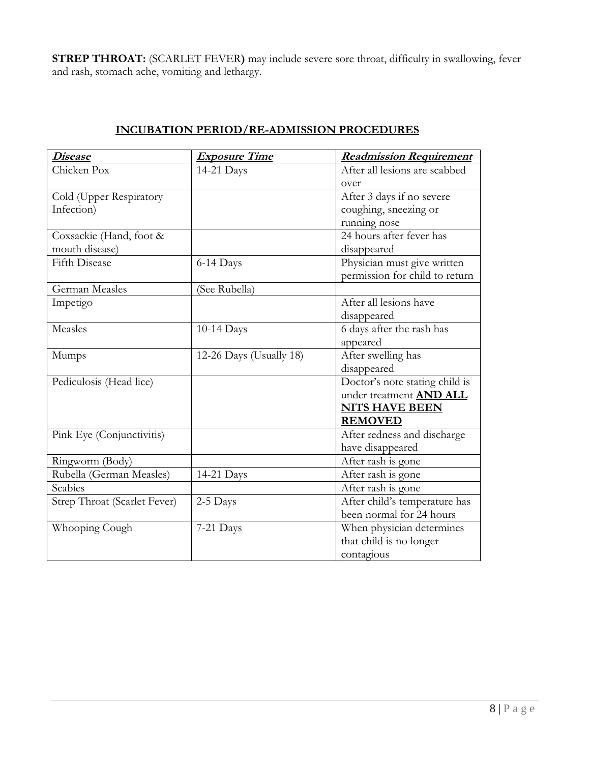**STREP THROAT:** (SCARLET FEVER**)** may include severe sore throat, difficulty in swallowing, fever and rash, stomach ache, vomiting and lethargy.

| <u> Disease</u>              | <b>Exposure Time</b>    | <b>Readmission Requirement</b> |
|------------------------------|-------------------------|--------------------------------|
| Chicken Pox                  | 14-21 Days              | After all lesions are scabbed  |
|                              |                         | over                           |
| Cold (Upper Respiratory      |                         | After 3 days if no severe      |
| Infection)                   |                         | coughing, sneezing or          |
|                              |                         | running nose                   |
| Coxsackie (Hand, foot &      |                         | 24 hours after fever has       |
| mouth disease)               |                         | disappeared                    |
| <b>Fifth Disease</b>         | 6-14 Days               | Physician must give written    |
|                              |                         | permission for child to return |
| <b>German Measles</b>        | (See Rubella)           |                                |
| Impetigo                     |                         | After all lesions have         |
|                              |                         | disappeared                    |
| Measles                      | 10-14 Days              | 6 days after the rash has      |
|                              |                         | appeared                       |
| Mumps                        | 12-26 Days (Usually 18) | After swelling has             |
|                              |                         | disappeared                    |
| Pediculosis (Head lice)      |                         | Doctor's note stating child is |
|                              |                         | under treatment <b>AND ALL</b> |
|                              |                         | <b>NITS HAVE BEEN</b>          |
|                              |                         | <b>REMOVED</b>                 |
| Pink Eye (Conjunctivitis)    |                         | After redness and discharge    |
|                              |                         | have disappeared               |
| Ringworm (Body)              |                         | After rash is gone             |
| Rubella (German Measles)     | 14-21 Days              | After rash is gone             |
| Scabies                      |                         | After rash is gone             |
| Strep Throat (Scarlet Fever) | 2-5 Days                | After child's temperature has  |
|                              |                         | been normal for 24 hours       |
| Whooping Cough               | 7-21 Days               | When physician determines      |
|                              |                         | that child is no longer        |
|                              |                         | contagious                     |

## **INCUBATION PERIOD/RE-ADMISSION PROCEDURES**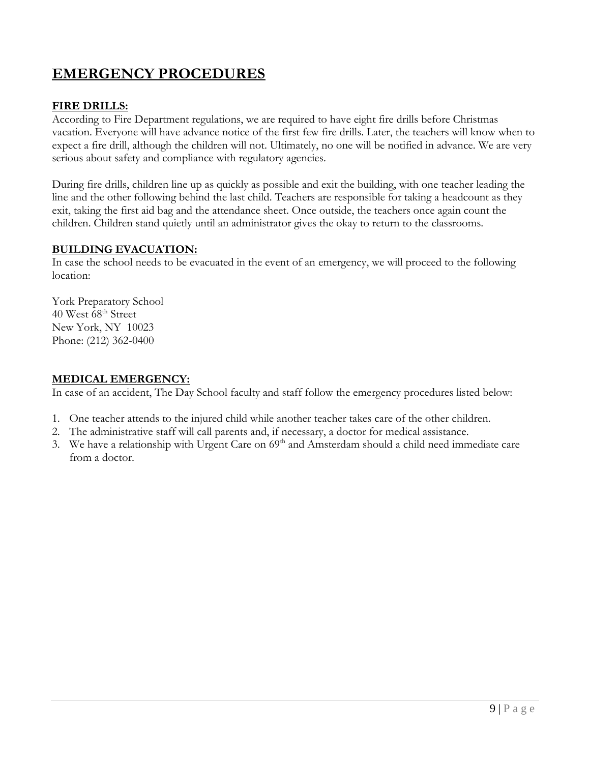# **EMERGENCY PROCEDURES**

## **FIRE DRILLS:**

According to Fire Department regulations, we are required to have eight fire drills before Christmas vacation. Everyone will have advance notice of the first few fire drills. Later, the teachers will know when to expect a fire drill, although the children will not. Ultimately, no one will be notified in advance. We are very serious about safety and compliance with regulatory agencies.

During fire drills, children line up as quickly as possible and exit the building, with one teacher leading the line and the other following behind the last child. Teachers are responsible for taking a headcount as they exit, taking the first aid bag and the attendance sheet. Once outside, the teachers once again count the children. Children stand quietly until an administrator gives the okay to return to the classrooms.

## **BUILDING EVACUATION:**

In case the school needs to be evacuated in the event of an emergency, we will proceed to the following location:

York Preparatory School 40 West 68<sup>th</sup> Street New York, NY 10023 Phone: (212) 362-0400

### **MEDICAL EMERGENCY:**

In case of an accident, The Day School faculty and staff follow the emergency procedures listed below:

- 1. One teacher attends to the injured child while another teacher takes care of the other children.
- 2. The administrative staff will call parents and, if necessary, a doctor for medical assistance.
- 3. We have a relationship with Urgent Care on 69<sup>th</sup> and Amsterdam should a child need immediate care from a doctor.